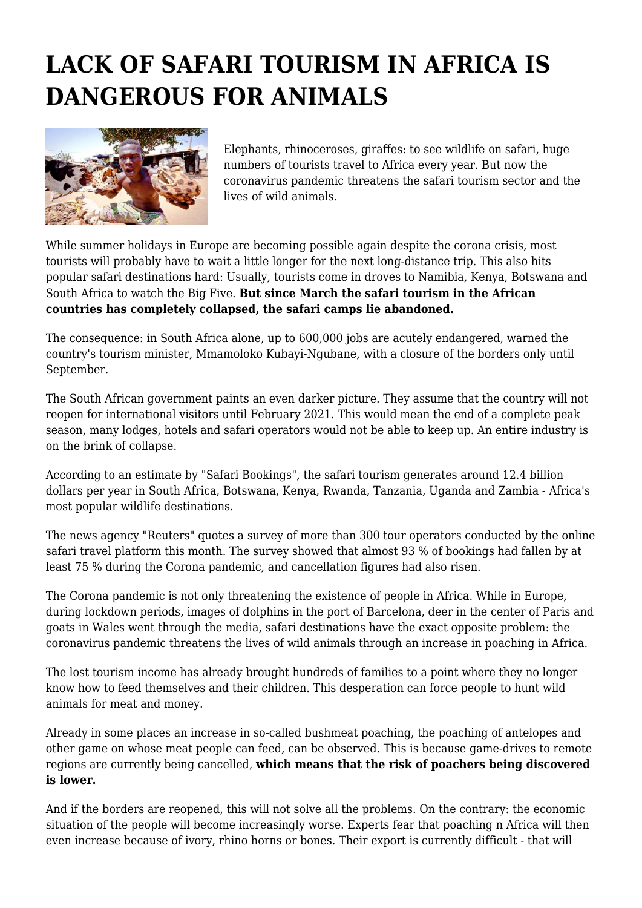## **LACK OF SAFARI TOURISM IN AFRICA IS DANGEROUS FOR ANIMALS**



Elephants, rhinoceroses, giraffes: to see wildlife on safari, huge numbers of tourists travel to Africa every year. But now the coronavirus pandemic threatens the safari tourism sector and the lives of wild animals.

While summer holidays in Europe are becoming possible again despite the corona crisis, most tourists will probably have to wait a little longer for the next long-distance trip. This also hits popular safari destinations hard: Usually, tourists come in droves to Namibia, Kenya, Botswana and South Africa to watch the Big Five. **But since March the safari tourism in the African countries has completely collapsed, the safari camps lie abandoned.**

The consequence: in South Africa alone, up to 600,000 jobs are acutely endangered, warned the country's tourism minister, Mmamoloko Kubayi-Ngubane, with a closure of the borders only until September.

The South African government paints an even darker picture. They assume that the country will not reopen for international visitors until February 2021. This would mean the end of a complete peak season, many lodges, hotels and safari operators would not be able to keep up. An entire industry is on the brink of collapse.

According to an estimate by "Safari Bookings", the safari tourism generates around 12.4 billion dollars per year in South Africa, Botswana, Kenya, Rwanda, Tanzania, Uganda and Zambia - Africa's most popular wildlife destinations.

The news agency "Reuters" quotes a survey of more than 300 tour operators conducted by the online safari travel platform this month. The survey showed that almost 93 % of bookings had fallen by at least 75 % during the Corona pandemic, and cancellation figures had also risen.

The Corona pandemic is not only threatening the existence of people in Africa. While in Europe, during lockdown periods, images of dolphins in the port of Barcelona, deer in the center of Paris and goats in Wales went through the media, safari destinations have the exact opposite problem: the coronavirus pandemic threatens the lives of wild animals through an increase in poaching in Africa.

The lost tourism income has already brought hundreds of families to a point where they no longer know how to feed themselves and their children. This desperation can force people to hunt wild animals for meat and money.

Already in some places an increase in so-called bushmeat poaching, the poaching of antelopes and other game on whose meat people can feed, can be observed. This is because game-drives to remote regions are currently being cancelled, **which means that the risk of poachers being discovered is lower.**

And if the borders are reopened, this will not solve all the problems. On the contrary: the economic situation of the people will become increasingly worse. Experts fear that poaching n Africa will then even increase because of ivory, rhino horns or bones. Their export is currently difficult - that will